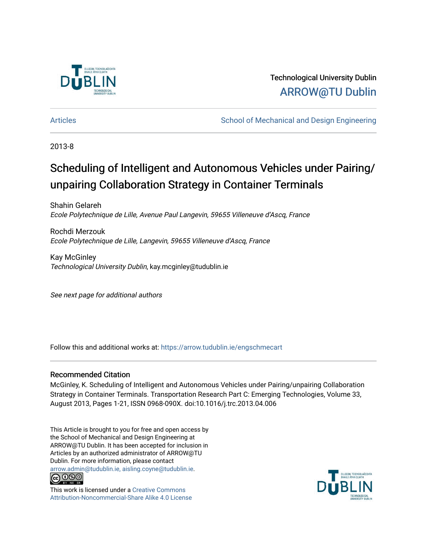

Technological University Dublin [ARROW@TU Dublin](https://arrow.tudublin.ie/) 

[Articles](https://arrow.tudublin.ie/engschmecart) **School of Mechanical and Design Engineering** School of Mechanical and Design Engineering

2013-8

# Scheduling of Intelligent and Autonomous Vehicles under Pairing/ unpairing Collaboration Strategy in Container Terminals

Shahin Gelareh Ecole Polytechnique de Lille, Avenue Paul Langevin, 59655 Villeneuve d'Ascq, France

Rochdi Merzouk Ecole Polytechnique de Lille, Langevin, 59655 Villeneuve d'Ascq, France

Kay McGinley Technological University Dublin, kay.mcginley@tudublin.ie

See next page for additional authors

Follow this and additional works at: [https://arrow.tudublin.ie/engschmecart](https://arrow.tudublin.ie/engschmecart?utm_source=arrow.tudublin.ie%2Fengschmecart%2F37&utm_medium=PDF&utm_campaign=PDFCoverPages) 

### Recommended Citation

McGinley, K. Scheduling of Intelligent and Autonomous Vehicles under Pairing/unpairing Collaboration Strategy in Container Terminals. Transportation Research Part C: Emerging Technologies, Volume 33, August 2013, Pages 1-21, ISSN 0968-090X. doi:10.1016/j.trc.2013.04.006

This Article is brought to you for free and open access by the School of Mechanical and Design Engineering at ARROW@TU Dublin. It has been accepted for inclusion in Articles by an authorized administrator of ARROW@TU Dublin. For more information, please contact [arrow.admin@tudublin.ie, aisling.coyne@tudublin.ie](mailto:arrow.admin@tudublin.ie,%20aisling.coyne@tudublin.ie).



This work is licensed under a [Creative Commons](http://creativecommons.org/licenses/by-nc-sa/4.0/) [Attribution-Noncommercial-Share Alike 4.0 License](http://creativecommons.org/licenses/by-nc-sa/4.0/)

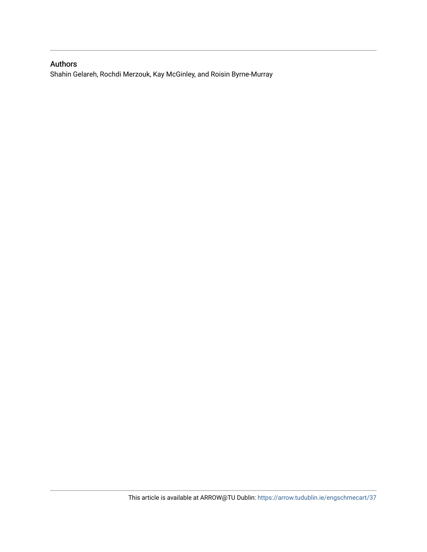### Authors

Shahin Gelareh, Rochdi Merzouk, Kay McGinley, and Roisin Byrne-Murray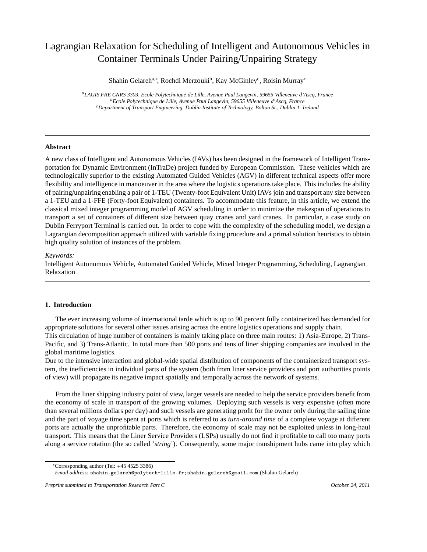## Lagrangian Relaxation for Scheduling of Intelligent and Autonomous Vehicles in Container Terminals Under Pairing/Unpairing Strategy

Shahin Gelareh<sup>a,∗</sup>, Rochdi Merzouki<sup>b</sup>, Kay McGinley<sup>c</sup>, Roisin Murray<sup>c</sup>

*<sup>a</sup>LAGIS FRE CNRS 3303, Ecole Polytechnique de Lille, Avenue Paul Langevin, 59655 Villeneuve d'Ascq, France <sup>b</sup>Ecole Polytechnique de Lille, Avenue Paul Langevin, 59655 Villeneuve d'Ascq, France <sup>c</sup>Department of Transport Engineering, Dublin Institute of Technology, Bolton St., Dublin 1. Ireland*

### **Abstract**

A new class of Intelligent and Autonomous Vehicles (IAVs) has been designed in the framework of Intelligent Transportation for Dynamic Environment (InTraDe) project funded by European Commission. These vehicles which are technologically superior to the existing Automated Guided Vehicles (AGV) in different technical aspects offer more flexibility and intelligence in manoeuver in the area where the logistics operations take place. This includes the ability of pairing/unpairing enabling a pair of 1-TEU (Twenty-foot Equivalent Unit) IAVs join and transport any size between a 1-TEU and a 1-FFE (Forty-foot Equivalent) containers. To accommodate this feature, in this article, we extend the classical mixed integer programming model of AGV scheduling in order to minimize the makespan of operations to transport a set of containers of different size between quay cranes and yard cranes. In particular, a case study on Dublin Ferryport Terminal is carried out. In order to cope with the complexity of the scheduling model, we design a Lagrangian decomposition approach utilized with variable fixing procedure and a primal solution heuristics to obtain high quality solution of instances of the problem.

### *Keywords:*

Intelligent Autonomous Vehicle, Automated Guided Vehicle, Mixed Integer Programming, Scheduling, Lagrangian Relaxation

### **1. Introduction**

The ever increasing volume of international tarde which is up to 90 percent fully containerized has demanded for appropriate solutions for several other issues arising across the entire logistics operations and supply chain. This circulation of huge number of containers is mainly taking place on three main routes: 1) Asia-Europe, 2) Trans-Pacific, and 3) Trans-Atlantic. In total more than 500 ports and tens of liner shipping companies are involved in the global maritime logistics.

Due to the intensive interaction and global-wide spatial distribution of components of the containerized transport system, the inefficiencies in individual parts of the system (both from liner service providers and port authorities points of view) will propagate its negative impact spatially and temporally across the network of systems.

From the liner shipping industry point of view, larger vessels are needed to help the service providers benefit from the economy of scale in transport of the growing volumes. Deploying such vessels is very expensive (often more than several millions dollars per day) and such vessels are generating profit for the owner only during the sailing time and the part of voyage time spent at ports which is referred to as *turn-around time* of a complete voyage at different ports are actually the unprofitable parts. Therefore, the economy of scale may not be exploited unless in long-haul transport. This means that the Liner Service Providers (LSPs) usually do not find it profitable to call too many ports along a service rotation (the so called '*string*'). Consequently, some major transhipment hubs came into play which

<sup>∗</sup>Corresponding author (Tel: +45 4525 3386)

*Email address:* shahin.gelareh@polytech-lille.fr;shahin.gelareh@gmail.com (Shahin Gelareh)

*Preprint submitted to Transportation Research Part C October 24, 2011*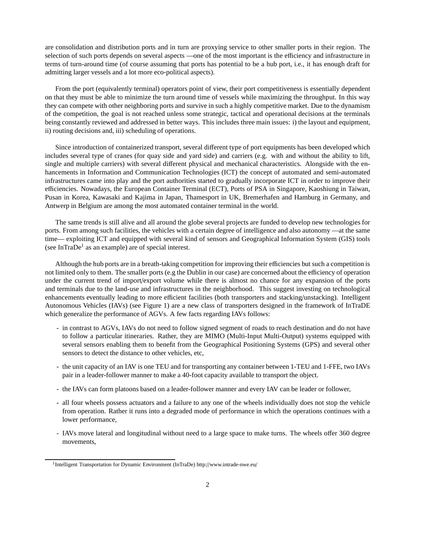are consolidation and distribution ports and in turn are proxying service to other smaller ports in their region. The selection of such ports depends on several aspects —one of the most important is the efficiency and infrastructure in terms of turn-around time (of course assuming that ports has potential to be a hub port, i.e., it has enough draft for admitting larger vessels and a lot more eco-political aspects).

From the port (equivalently terminal) operators point of view, their port competitiveness is essentially dependent on that they must be able to minimize the turn around time of vessels while maximizing the throughput. In this way they can compete with other neighboring ports and survive in such a highly competitive market. Due to the dynamism of the competition, the goal is not reached unless some strategic, tactical and operational decisions at the terminals being constantly reviewed and addressed in better ways. This includes three main issues: i) the layout and equipment, ii) routing decisions and, iii) scheduling of operations.

Since introduction of containerized transport, several different type of port equipments has been developed which includes several type of cranes (for quay side and yard side) and carriers (e.g. with and without the ability to lift, single and multiple carriers) with several different physical and mechanical characteristics. Alongside with the enhancements in Information and Communication Technologies (ICT) the concept of automated and semi-automated infrastructures came into play and the port authorities started to gradually incorporate ICT in order to improve their efficiencies. Nowadays, the European Container Terminal (ECT), Ports of PSA in Singapore, Kaoshiung in Taiwan, Pusan in Korea, Kawasaki and Kajima in Japan, Thamesport in UK, Bremerhafen and Hamburg in Germany, and Antwerp in Belgium are among the most automated container terminal in the world.

The same trends is still alive and all around the globe several projects are funded to develop new technologies for ports. From among such facilities, the vehicles with a certain degree of intelligence and also autonomy —at the same time— exploiting ICT and equipped with several kind of sensors and Geographical Information System (GIS) tools (see InTraDe<sup>1</sup> as an example) are of special interest.

Although the hub ports are in a breath-taking competition for improving their efficiencies but such a competition is not limited only to them. The smaller ports (e.g the Dublin in our case) are concerned about the efficiency of operation under the current trend of import/export volume while there is almost no chance for any expansion of the ports and terminals due to the land-use and infrastructures in the neighborhood. This suggest investing on technological enhancements eventually leading to more efficient facilities (both transporters and stacking/unstacking). Intelligent Autonomous Vehicles (IAVs) (see Figure 1) are a new class of transporters designed in the framework of InTraDE which generalize the performance of AGVs. A few facts regarding IAVs follows:

- in contrast to AGVs, IAVs do not need to follow signed segment of roads to reach destination and do not have to follow a particular itineraries. Rather, they are MIMO (Multi-Input Multi-Output) systems equipped with several sensors enabling them to benefit from the Geographical Positioning Systems (GPS) and several other sensors to detect the distance to other vehicles, etc,
- the unit capacity of an IAV is one TEU and for transporting any container between 1-TEU and 1-FFE, two IAVs pair in a leader-follower manner to make a 40-foot capacity available to transport the object.
- the IAVs can form platoons based on a leader-follower manner and every IAV can be leader or follower,
- all four wheels possess actuators and a failure to any one of the wheels individually does not stop the vehicle from operation. Rather it runs into a degraded mode of performance in which the operations continues with a lower performance,
- IAVs move lateral and longitudinal without need to a large space to make turns. The wheels offer 360 degree movements,

<sup>&</sup>lt;sup>1</sup>Intelligent Transportation for Dynamic Environment (InTraDe) http://www.intrade-nwe.eu/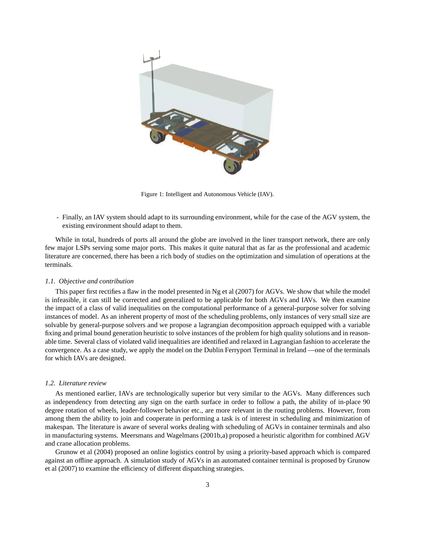

Figure 1: Intelligent and Autonomous Vehicle (IAV).

- Finally, an IAV system should adapt to its surrounding environment, while for the case of the AGV system, the existing environment should adapt to them.

While in total, hundreds of ports all around the globe are involved in the liner transport network, there are only few major LSPs serving some major ports. This makes it quite natural that as far as the professional and academic literature are concerned, there has been a rich body of studies on the optimization and simulation of operations at the terminals.

#### *1.1. Objective and contribution*

This paper first rectifies a flaw in the model presented in Ng et al (2007) for AGVs. We show that while the model is infeasible, it can still be corrected and generalized to be applicable for both AGVs and IAVs. We then examine the impact of a class of valid inequalities on the computational performance of a general-purpose solver for solving instances of model. As an inherent property of most of the scheduling problems, only instances of very small size are solvable by general-purpose solvers and we propose a lagrangian decomposition approach equipped with a variable fixing and primal bound generation heuristic to solve instances of the problem for high quality solutions and in reasonable time. Several class of violated valid inequalities are identified and relaxed in Lagrangian fashion to accelerate the convergence. As a case study, we apply the model on the Dublin Ferryport Terminal in Ireland —one of the terminals for which IAVs are designed.

### *1.2. Literature review*

As mentioned earlier, IAVs are technologically superior but very similar to the AGVs. Many differences such as independency from detecting any sign on the earth surface in order to follow a path, the ability of in-place 90 degree rotation of wheels, leader-follower behavior etc., are more relevant in the routing problems. However, from among them the ability to join and cooperate in performing a task is of interest in scheduling and minimization of makespan. The literature is aware of several works dealing with scheduling of AGVs in container terminals and also in manufacturing systems. Meersmans and Wagelmans (2001b,a) proposed a heuristic algorithm for combined AGV and crane allocation problems.

Grunow et al (2004) proposed an online logistics control by using a priority-based approach which is compared against an offline approach. A simulation study of AGVs in an automated container terminal is proposed by Grunow et al (2007) to examine the efficiency of different dispatching strategies.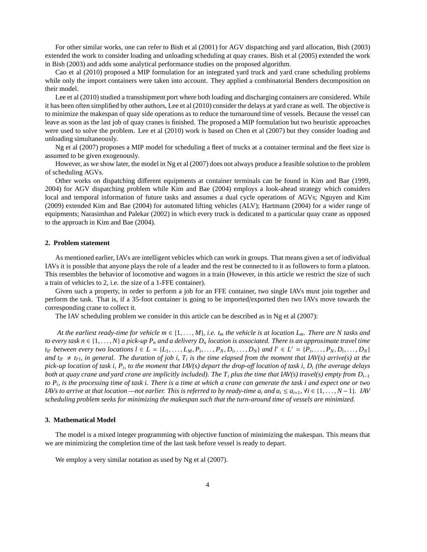For other similar works, one can refer to Bish et al (2001) for AGV dispatching and yard allocation, Bish (2003) extended the work to consider loading and unloading scheduling at quay cranes. Bish et al (2005) extended the work in Bish (2003) and adds some analytical performance studies on the proposed algorithm.

Cao et al (2010) proposed a MIP formulation for an integrated yard truck and yard crane scheduling problems while only the import containers were taken into account. They applied a combinatorial Benders decomposition on their model.

Lee et al (2010) studied a transshipment port where both loading and discharging containers are considered. While it has been often simplified by other authors, Lee et al (2010) consider the delays at yard crane as well. The objective is to minimize the makespan of quay side operations as to reduce the turnaround time of vessels. Because the vessel can leave as soon as the last job of quay cranes is finished. The proposed a MIP formulation but two heuristic approaches were used to solve the problem. Lee et al (2010) work is based on Chen et al (2007) but they consider loading and unloading simultaneously.

Ng et al (2007) proposes a MIP model for scheduling a fleet of trucks at a container terminal and the fleet size is assumed to be given exogenously.

However, as we show later, the model in Ng et al (2007) does not always produce a feasible solution to the problem of scheduling AGVs.

Other works on dispatching different equipments at container terminals can be found in Kim and Bae (1999, 2004) for AGV dispatching problem while Kim and Bae (2004) employs a look-ahead strategy which considers local and temporal information of future tasks and assumes a dual cycle operations of AGVs; Nguyen and Kim (2009) extended Kim and Bae (2004) for automated lifting vehicles (ALV); Hartmann (2004) for a wider range of equipments; Narasimhan and Palekar (2002) in which every truck is dedicated to a particular quay crane as opposed to the approach in Kim and Bae (2004).

### **2. Problem statement**

As mentioned earlier, IAVs are intelligent vehicles which can work in groups. That means given a set of individual IAVs it is possible that anyone plays the role of a leader and the rest be connected to it as followers to form a platoon. This resembles the behavior of locomotive and wagons in a train (However, in this article we restrict the size of such a train of vehicles to 2, i.e. the size of a 1-FFE container).

Given such a property, in order to perform a job for an FFE container, two single IAVs must join together and perform the task. That is, if a 35-foot container is going to be imported/exported then two IAVs move towards the corresponding crane to collect it.

The IAV scheduling problem we consider in this article can be described as in Ng et al (2007):

*At the earliest ready-time for vehicle*  $m \in \{1, \ldots, M\}$ *, i.e.*  $t_m$  *the vehicle is at location*  $L_m$ *. There are N tasks and to every task n*  $\in$  {1, ..., *N*} *a pick-up*  $P_n$  *and a delivery*  $D_n$  *location is associated. There is an approximate travel time*  $t_{ll'}$  between every two locations  $l \in L = \{L_1, \ldots, L_M, P_i, \ldots, P_N, D_i, \ldots, D_N\}$  and  $l' \in L' = \{P_i, \ldots, P_N, D_i, \ldots, D_N\}$ and  $t_{ll'} \neq t_{l'l}$ , in general. The duration of job i,  $T_i$  is the time elapsed from the moment that IAV(s) arrive(s) at the *pick-up location of task i, P<sup>i</sup> , to the moment that IAV(s) depart the drop-o*ff *location of task i, D<sup>i</sup> (the average delays both at quay crane and yard crane are implicitly included). The*  $T_i$  *plus the time that IAV(s) travel(s) empty from*  $D_{i-1}$ *to P<sup>i</sup> , is the processing time of task i. There is a time at which a crane can generate the task i and expect one or two IAVs to arrive at that location —not earlier. This is referred to by ready-time*  $a_i$  *and*  $a_i \leq a_{i+1}$ *,*  $\forall i \in \{1, ..., N-1\}$ *<i>. IAV scheduling problem seeks for minimizing the makespan such that the turn-around time of vessels are minimized.*

### **3. Mathematical Model**

The model is a mixed integer programming with objective function of minimizing the makespan. This means that we are minimizing the completion time of the last task before vessel is ready to depart.

We employ a very similar notation as used by Ng et al  $(2007)$ .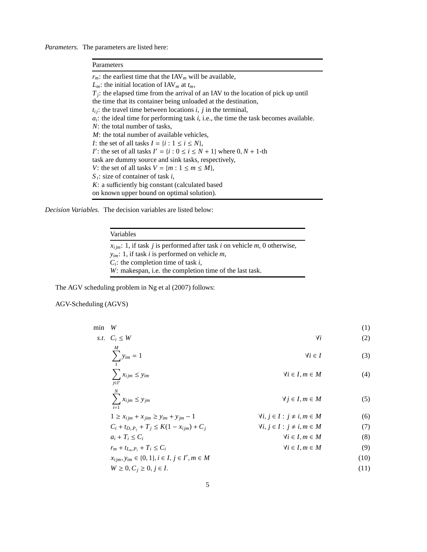*Parameters.* The parameters are listed here:

### Parameters  $r_m$ : the earliest time that the IAV<sub>*m*</sub> will be available, *L*<sup>*m*</sup>: the initial location of IAV<sup>*m*</sup> at  $t_m$ , *T*<sub>*j*</sub>: the elapsed time from the arrival of an IAV to the location of pick up until the time that its container being unloaded at the destination,  $t_{ij}$ : the travel time between locations *i*, *j* in the terminal, *ai* : the ideal time for performing task *i*, i.e., the time the task becomes available. *N*: the total number of tasks, *M*: the total number of available vehicles, *I*: the set of all tasks  $I = \{i : 1 \le i \le N\}$ , *I*<sup>
'</sup>: the set of all tasks *I*<sup>'</sup> = {*i* :  $0 \le i \le N + 1$ } where  $0, N + 1$ -th task are dummy source and sink tasks, respectively, *V*: the set of all tasks  $V = \{m : 1 \le m \le M\}$ , *S i* : size of container of task *i*, *K*: a sufficiently big constant (calculated based on known upper bound on optimal solution).

*Decision Variables.* The decision variables are listed below:

Variables

 $x_{i im}$ : 1, if task *j* is performed after task *i* on vehicle *m*, 0 otherwise, *yim*: 1, if task *i* is performed on vehicle *m*, *Ci* : the completion time of task *i*, *W*: makespan, i.e. the completion time of the last task.

The AGV scheduling problem in Ng et al (2007) follows:

AGV-Scheduling (AGVS)

| min | W                                                          |                                          | (1)  |
|-----|------------------------------------------------------------|------------------------------------------|------|
|     | s.t. $C_i \leq W$                                          | Чi                                       | (2)  |
|     | M<br>$\sum_{m=1}^{m} y_{im} = 1$                           | $\forall i \in I$                        | (3)  |
|     | $\sum x_{ijm} \leq y_{im}$<br>$i \in I'$                   | $\forall i \in I, m \in M$               | (4)  |
|     | $\sum_{i=1} x_{ijm} \leq y_{jm}$                           | $\forall j \in I, m \in M$               | (5)  |
|     | $1 \ge x_{ijm} + x_{jim} \ge y_{im} + y_{jm} - 1$          | $\forall i, j \in I : j \neq i, m \in M$ | (6)  |
|     | $C_i + t_{D_i,P_i} + T_j \leq K(1 - x_{ijm}) + C_j$        | $\forall i, j \in I : j \neq i, m \in M$ | (7)  |
|     | $a_i + T_i \leq C_i$                                       | $\forall i \in I, m \in M$               | (8)  |
|     | $r_m + t_{L_m,P_i} + T_i \leq C_i$                         | $\forall i \in I, m \in M$               | (9)  |
|     | $x_{ijm}, y_{im} \in \{0, 1\}, i \in I, j \in I', m \in M$ |                                          | (10) |
|     | $W \geq 0, C_i \geq 0, j \in I.$                           |                                          | (11) |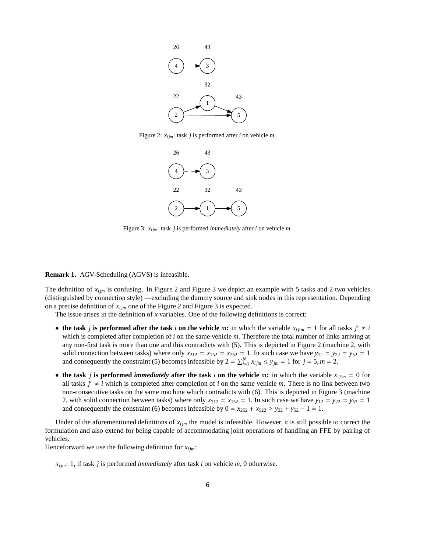

Figure 2:  $x_{ijm}$ : task *j* is performed after *i* on vehicle *m*.



Figure 3: *xi jm*: task *j* is performed *immediately* after *i* on vehicle *m*.

**Remark 1.** AGV-Scheduling (AGVS) is infeasible.

The definition of *xi jm* is confusing. In Figure 2 and Figure 3 we depict an example with 5 tasks and 2 two vehicles (distinguished by connection style) —excluding the dummy source and sink nodes in this representation. Depending on a precise definition of  $x_{i j m}$  one of the Figure 2 and Figure 3 is expected.

The issue arises in the definition of *x* variables. One of the following definitions is correct:

- the task *j* is performed after the task *i* on the vehicle *m*: in which the variable  $x_{ij'm} = 1$  for all tasks  $j' \neq i$ which is completed after completion of *i* on the same vehicle *m*. Therefore the total number of links arriving at any non-first task is more than one and this contradicts with (5). This is depicted in Figure 2 (machine 2, with solid connection between tasks) where only  $x_{212} = x_{152} = x_{252} = 1$ . In such case we have  $y_{12} = y_{22} = y_{52} = 1$ and consequently the constraint (5) becomes infeasible by  $2 = \sum_{i=1}^{N} x_{ijm} \le y_{jm} = 1$  for  $j = 5, m = 2$ .
- the task *j* is performed *immediately* after the task *i* on the vehicle *m*: in which the variable  $x_{ijm} = 0$  for all tasks  $j' \neq i$  which is completed after completion of *i* on the same vehicle *m*. There is no link between two non-consecutive tasks on the same machine which contradicts with (6). This is depicted in Figure 3 (machine 2, with solid connection between tasks) where only  $x_{212} = x_{152} = 1$ . In such case we have  $y_{12} = y_{22} = y_{52} = 1$ and consequently the constraint (6) becomes infeasible by  $0 = x_{252} + x_{522} \ge y_{22} + y_{52} - 1 = 1$ .

Under of the aforementioned definitions of  $x_{i j m}$  the model is infeasible. However, it is still possible to correct the formulation and also extend for being capable of accommodating joint operations of handling an FFE by pairing of vehicles.

Henceforward we use the following definition for  $x_{i j m}$ :

*xi jm*: 1, if task *j* is performed *immediately* after task *i* on vehicle *m*, 0 otherwise.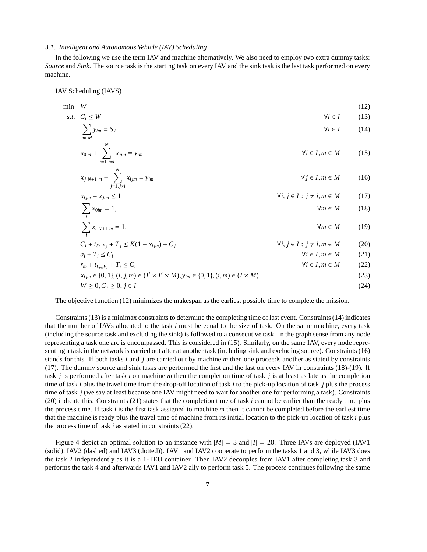### *3.1. Intelligent and Autonomous Vehicle (IAV) Scheduling*

In the following we use the term IAV and machine alternatively. We also need to employ two extra dummy tasks: *Source* and *Sink*. The source task is the starting task on every IAV and the sink task is the last task performed on every machine.

IAV Scheduling (IAVS)

$$
\min \quad W \tag{12}
$$

s.t. 
$$
C_i \leq W
$$
  
\n
$$
\sum_{m \in M} y_{im} = S_i
$$
\n
$$
\forall i \in I
$$
\n(13)

$$
x_{0im} + \sum_{j=1, j \neq i}^{N} x_{jim} = y_{im} \qquad \qquad \forall i \in I, m \in M \qquad (15)
$$

$$
x_{j \ N+1 \ m} + \sum_{j=1, j \neq i}^{N} x_{ijm} = y_{im} \qquad \qquad \forall j \in I, m \in M \qquad (16)
$$

$$
x_{ijm} + x_{jim} \le 1
$$
  
\n
$$
\sum x_{ijm} = 1,
$$
  
\n
$$
\forall i, j \in I : j \ne i, m \in M
$$
  
\n
$$
\forall m \in M
$$
  
\n(17)

$$
\sum_{i}^{i} x_{i,N+1,m} = 1, \qquad \qquad \forall m \in M \qquad (19)
$$

$$
C_i + t_{D_i, P_j} + T_j \le K(1 - x_{ijm}) + C_j
$$
  
\n
$$
a_i + T_i \le C_i
$$
  
\n
$$
r_m + t_{L_m, P_i} + T_i \le C_i
$$
  
\n
$$
(20)
$$
  
\n
$$
V_i, j \in I : j \ne i, m \in M
$$
  
\n
$$
V_i \in I, m \in M
$$
  
\n
$$
(21)
$$
  
\n
$$
V_i \in I, m \in M
$$
  
\n
$$
(22)
$$

$$
x_{ijm} \in \{0, 1\}, (i, j, m) \in (I' \times I' \times M), y_{im} \in \{0, 1\}, (i, m) \in (I \times M)
$$
\n(23)

$$
W \ge 0, C_j \ge 0, j \in I \tag{24}
$$

The objective function (12) minimizes the makespan as the earliest possible time to complete the mission.

Constraints (13) is a minimax constraints to determine the completing time of last event. Constraints (14) indicates that the number of IAVs allocated to the task *i* must be equal to the size of task. On the same machine, every task (including the source task and excluding the sink) is followed to a consecutive task. In the graph sense from any node representing a task one arc is encompassed. This is considered in (15). Similarly, on the same IAV, every node representing a task in the network is carried out after at another task (including sink and excluding source). Constraints (16) stands for this. If both tasks *i* and *j* are carried out by machine *m* then one proceeds another as stated by constraints (17). The dummy source and sink tasks are performed the first and the last on every IAV in constraints (18)-(19). If task *j* is performed after task *i* on machine *m* then the completion time of task *j* is at least as late as the completion time of task *i* plus the travel time from the drop-off location of task *i* to the pick-up location of task *j* plus the process time of task *j* (we say at least because one IAV might need to wait for another one for performing a task). Constraints (20) indicate this. Constraints (21) states that the completion time of task *i* cannot be earlier than the ready time plus the process time. If task *i* is the first task assigned to machine *m* then it cannot be completed before the earliest time that the machine is ready plus the travel time of machine from its initial location to the pick-up location of task *i* plus the process time of task *i* as stated in constraints (22).

Figure 4 depict an optimal solution to an instance with  $|M| = 3$  and  $|I| = 20$ . Three IAVs are deployed (IAV1) (solid), IAV2 (dashed) and IAV3 (dotted)). IAV1 and IAV2 cooperate to perform the tasks 1 and 3, while IAV3 does the task 2 independently as it is a 1-TEU container. Then IAV2 decouples from IAV1 after completing task 3 and performs the task 4 and afterwards IAV1 and IAV2 ally to perform task 5. The process continues following the same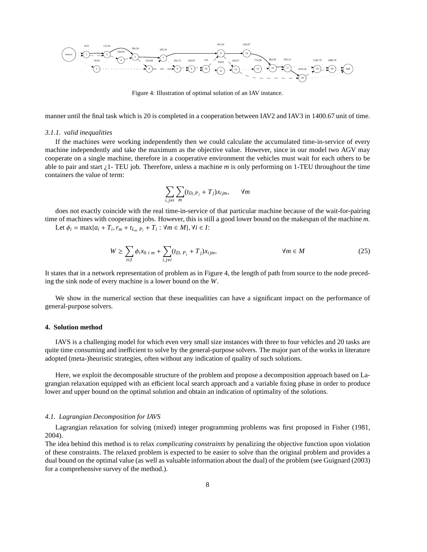

Figure 4: Illustration of optimal solution of an IAV instance.

manner until the final task which is 20 is completed in a cooperation between IAV2 and IAV3 in 1400.67 unit of time.

#### *3.1.1. valid inequalities*

If the machines were working independently then we could calculate the accumulated time-in-service of every machine independently and take the maximum as the objective value. However, since in our model two AGV may cooperate on a single machine, therefore in a cooperative environment the vehicles must wait for each others to be able to pair and start ¿1- TEU job. Therefore, unless a machine *m* is only performing on 1-TEU throughout the time containers the value of term:

$$
\sum_{i,j\neq i}\sum_{m}(t_{D_i,P_j}+T_j)x_{ijm},\qquad \forall m
$$

does not exactly coincide with the real time-in-service of that particular machine because of the wait-for-pairing time of machines with cooperating jobs. However, this is still a good lower bound on the makespan of the machine *m*.

Let  $\phi_i = \max\{a_i + T_i, r_m + t_{L_m} \}_{i=1}^m$  +  $T_i : \forall m \in M\}, \forall i \in I$ :

$$
W \ge \sum_{i \in I} \phi_i x_0_{i,m} + \sum_{i,j \ne i} (t_{D_i P_j} + T_j) x_{ijm}, \qquad \forall m \in M
$$
 (25)

It states that in a network representation of problem as in Figure 4, the length of path from source to the node preceding the sink node of every machine is a lower bound on the *W*.

We show in the numerical section that these inequalities can have a significant impact on the performance of general-purpose solvers.

### **4. Solution method**

IAVS is a challenging model for which even very small size instances with three to four vehicles and 20 tasks are quite time consuming and inefficient to solve by the general-purpose solvers. The major part of the works in literature adopted (meta-)heuristic strategies, often without any indication of quality of such solutions.

Here, we exploit the decomposable structure of the problem and propose a decomposition approach based on Lagrangian relaxation equipped with an efficient local search approach and a variable fixing phase in order to produce lower and upper bound on the optimal solution and obtain an indication of optimality of the solutions.

### *4.1. Lagrangian Decomposition for IAVS*

Lagrangian relaxation for solving (mixed) integer programming problems was first proposed in Fisher (1981, 2004).

The idea behind this method is to relax *complicating constraints* by penalizing the objective function upon violation of these constraints. The relaxed problem is expected to be easier to solve than the original problem and provides a dual bound on the optimal value (as well as valuable information about the dual) of the problem (see Guignard (2003) for a comprehensive survey of the method.).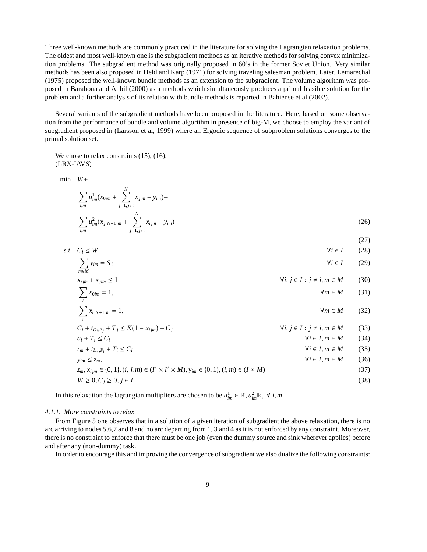Three well-known methods are commonly practiced in the literature for solving the Lagrangian relaxation problems. The oldest and most well-known one is the subgradient methods as an iterative methods for solving convex minimization problems. The subgradient method was originally proposed in 60's in the former Soviet Union. Very similar methods has been also proposed in Held and Karp (1971) for solving traveling salesman problem. Later, Lemarechal (1975) proposed the well-known bundle methods as an extension to the subgradient. The volume algorithm was proposed in Barahona and Anbil (2000) as a methods which simultaneously produces a primal feasible solution for the problem and a further analysis of its relation with bundle methods is reported in Bahiense et al (2002).

Several variants of the subgradient methods have been proposed in the literature. Here, based on some observation from the performance of bundle and volume algorithm in presence of big-M, we choose to employ the variant of subgradient proposed in (Larsson et al, 1999) where an Ergodic sequence of subproblem solutions converges to the primal solution set.

We chose to relax constraints  $(15)$ ,  $(16)$ : (LRX-IAVS)

min *W*+

$$
\sum_{i,m} u_{im}^1(x_{0im} + \sum_{j=1, j\neq i}^N x_{jim} - y_{im}) +
$$
\n
$$
\sum_{i,m} u_{im}^2(x_{j\ N+1\ m} + \sum_{j=1, j\neq i}^N x_{ijm} - y_{im})
$$
\n(26)

$$
s.t. \quad C_i \le W \tag{27}
$$
\n
$$
\forall i \in I \tag{28}
$$

$$
\sum_{m \in M} y_{im} = S_i \tag{29}
$$

$$
x_{ijm} + x_{jim} \le 1 \qquad \forall i, j \in I : j \ne i, m \in M \qquad (30)
$$

$$
\sum_{i} x_{0im} = 1, \qquad \qquad \forall m \in M \qquad (31)
$$
\n
$$
\sum_{i} x_{i \ N+1 \ m} = 1, \qquad \qquad \forall m \in M \qquad (32)
$$

$$
C_i + t_{D_i, P_j} + T_j \le K(1 - x_{ijm}) + C_j
$$
  

$$
\forall i, j \in I : j \ne i, m \in M
$$
 (33)

$$
a_i + T_i \le C_i \qquad \forall i \in I, m \in M \qquad (34)
$$
  
\n
$$
r_m + t_{L_m, P_i} + T_i \le C_i \qquad \forall i \in I, m \in M \qquad (35)
$$

$$
y_{im} \le z_m, \qquad \qquad \forall i \in I, m \in M \qquad (36)
$$

$$
z_m, x_{ijm} \in \{0, 1\}, (i, j, m) \in (I' \times I' \times M), y_{im} \in \{0, 1\}, (i, m) \in (I \times M)
$$
  
(37)  

$$
W \ge 0, C_j \ge 0, j \in I
$$

In this relaxation the lagrangian multipliers are chosen to be  $u_{im}^1 \in \mathbb{R}, u_{im}^2 \mathbb{R}, \forall i, m$ .

### *4.1.1. More constraints to relax*

From Figure 5 one observes that in a solution of a given iteration of subgradient the above relaxation, there is no arc arriving to nodes 5,6,7 and 8 and no arc departing from 1, 3 and 4 as it is not enforced by any constraint. Moreover, there is no constraint to enforce that there must be one job (even the dummy source and sink wherever applies) before and after any (non-dummy) task.

In order to encourage this and improving the convergence of subgradient we also dualize the following constraints: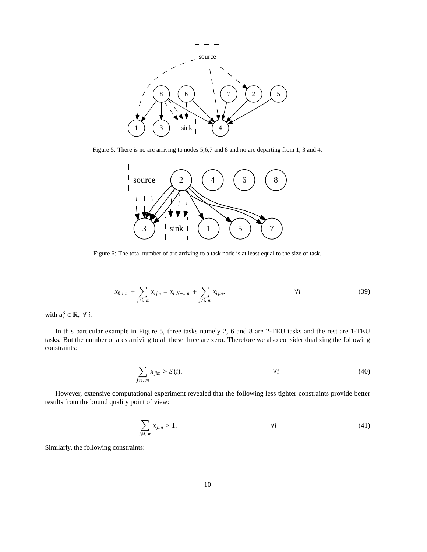

Figure 5: There is no arc arriving to nodes 5,6,7 and 8 and no arc departing from 1, 3 and 4.



Figure 6: The total number of arc arriving to a task node is at least equal to the size of task.

$$
x_{0 i m} + \sum_{j \neq i, m} x_{ij m} = x_{i N+1 m} + \sum_{j \neq i, m} x_{ij m}, \qquad \forall i
$$
 (39)

with  $u_i^3 \in \mathbb{R}, \forall i$ .

In this particular example in Figure 5, three tasks namely 2, 6 and 8 are 2-TEU tasks and the rest are 1-TEU tasks. But the number of arcs arriving to all these three are zero. Therefore we also consider dualizing the following constraints:

$$
\sum_{j \neq i, m} x_{jim} \ge S(i), \qquad \forall i \tag{40}
$$

However, extensive computational experiment revealed that the following less tighter constraints provide better results from the bound quality point of view:

$$
\sum_{j \neq i, m} x_{jim} \ge 1,\tag{41}
$$

Similarly, the following constraints: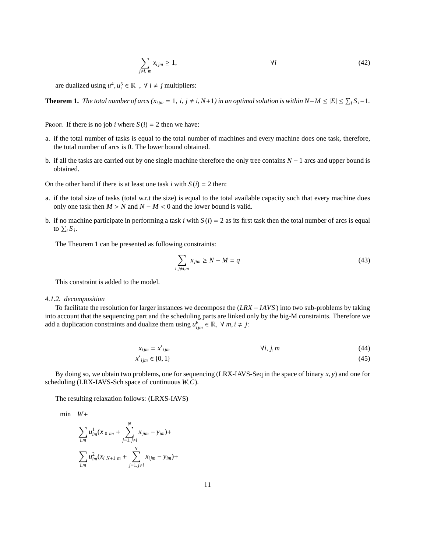$$
\sum_{j \neq i, m} x_{ijm} \ge 1,\tag{42}
$$

are dualized using  $u^4$ ,  $u_i^5 \in \mathbb{R}^-$ ,  $\forall i \neq j$  multipliers:

**Theorem 1.** *The total number of arcs*  $(x_{ijm} = 1, i, j \neq i, N+1)$  *in an optimal solution is within*  $N-M \leq |E| \leq \sum_i S_i - 1$ *.* 

Proof. If there is no job *i* where  $S(i) = 2$  then we have:

- a. if the total number of tasks is equal to the total number of machines and every machine does one task, therefore, the total number of arcs is 0. The lower bound obtained.
- b. if all the tasks are carried out by one single machine therefore the only tree contains *N* − 1 arcs and upper bound is obtained.

On the other hand if there is at least one task  $i$  with  $S(i) = 2$  then:

- a. if the total size of tasks (total w.r.t the size) is equal to the total available capacity such that every machine does only one task then  $M > N$  and  $N - M < 0$  and the lower bound is valid.
- b. if no machine participate in performing a task *i* with  $S(i) = 2$  as its first task then the total number of arcs is equal to  $\sum_i S_i$ .

The Theorem 1 can be presented as following constraints:

$$
\sum_{i,j\neq i,m} x_{jim} \ge N - M = q \tag{43}
$$

This constraint is added to the model.

### *4.1.2. decomposition*

To facilitate the resolution for larger instances we decompose the (*LRX* − *IAVS* ) into two sub-problems by taking into account that the sequencing part and the scheduling parts are linked only by the big-M constraints. Therefore we add a duplication constraints and dualize them using  $u_{ijm}^6 \in \mathbb{R}$ ,  $\forall m, i \neq j$ :

$$
x_{ijm} = x'_{ijm} \qquad \qquad \forall i, j, m \qquad (44)
$$

$$
x'_{ijm} \in \{0, 1\} \tag{45}
$$

By doing so, we obtain two problems, one for sequencing (LRX-IAVS-Seq in the space of binary *x*, *y*) and one for scheduling (LRX-IAVS-Sch space of continuous *W*,*C*).

The resulting relaxation follows: (LRXS-IAVS)

min *W*+

$$
\sum_{i,m} u_{im}^1(x_{0 im} + \sum_{j=1, j\neq i}^N x_{jim} - y_{im}) +
$$
  

$$
\sum_{i,m} u_{im}^2(x_{i N+1 m} + \sum_{j=1, j\neq i}^N x_{ijm} - y_{im}) +
$$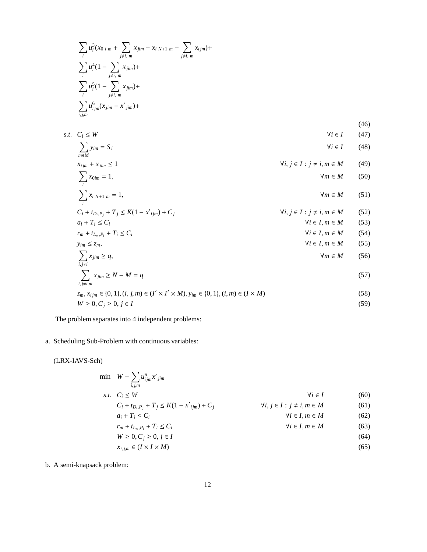$$
\sum_{i} u_i^3(x_{0 i m} + \sum_{j \neq i, m} x_{jim} - x_{i N+1 m} - \sum_{j \neq i, m} x_{ijm}) +
$$
  
\n
$$
\sum_{i} u_i^4 (1 - \sum_{j \neq i, m} x_{jim}) +
$$
  
\n
$$
\sum_{i} u_i^5 (1 - \sum_{j \neq i, m} x_{jim}) +
$$
  
\n
$$
\sum_{i,j,m} u_{ijm}^6(x_{jim} - x'_{jim}) +
$$

(46) *s*.*t*. *C<sup>i</sup>* ≤ *W* ∀*i* ∈ *I* (47)

$$
\sum_{m \in M} y_{im} = S_i \tag{48}
$$

$$
x_{ijm} + x_{jim} \le 1 \qquad \forall i, j \in I : j \ne i, m \in M \qquad (49)
$$

$$
\sum_{i} x_{0im} = 1, \qquad \qquad \forall m \in M \qquad (50)
$$

$$
\sum_{i} x_{i,N+1,m} = 1, \qquad \forall m \in M \qquad (51)
$$

$$
C_i + t_{D_i, P_j} + T_j \le K(1 - x'_{ijm}) + C_j
$$
  
\n
$$
q_i + T_i < C_i
$$
\n
$$
V_i, j \in I : j \ne i, m \in M
$$
\n
$$
(52)
$$
\n
$$
V_i \in I, m \in M
$$
\n
$$
(53)
$$

$$
r_m + t_{L_m, P_i} + T_i \le C_i
$$
\n
$$
r_m + t_{L_m, P_i} + T_i \le C_i
$$
\n
$$
(33)
$$
\n
$$
V_i \in I, m \in M
$$
\n
$$
(54)
$$

$$
y_{im} \le z_m, \qquad \forall i \in I, m \in M \tag{55}
$$

$$
\sum_{i,j\neq i} x_{jim} \ge q,
$$
\n
$$
\sum_{i,j\neq i,m} x_{jim} \ge N - M = q
$$
\n(56)

$$
z_m, x_{ijm} \in \{0, 1\}, (i, j, m) \in (I' \times I' \times M), y_{im} \in \{0, 1\}, (i, m) \in (I \times M)
$$
  
(58)  

$$
W \ge 0, C_j \ge 0, j \in I
$$

The problem separates into 4 independent problems:

### a. Scheduling Sub-Problem with continuous variables:

(LRX-IAVS-Sch)

$$
\min W - \sum_{i,j,m} u_{ijm}^{6} x'_{jim}
$$
\n
$$
s.t. C_i \le W
$$
\n
$$
C_i + t_{D_i, P_j} + T_j \le K(1 - x'_{ijm}) + C_j
$$
\n
$$
a_i + T_i \le C_i
$$
\n
$$
r_m + t_{L_m, P_i} + T_i \le C_i
$$
\n
$$
W \ge 0, C_j \ge 0, j \in I
$$
\n
$$
x_{i,j,m} \in (I \times I \times M)
$$
\n
$$
(65)
$$
\n
$$
(65)
$$

b. A semi-knapsack problem: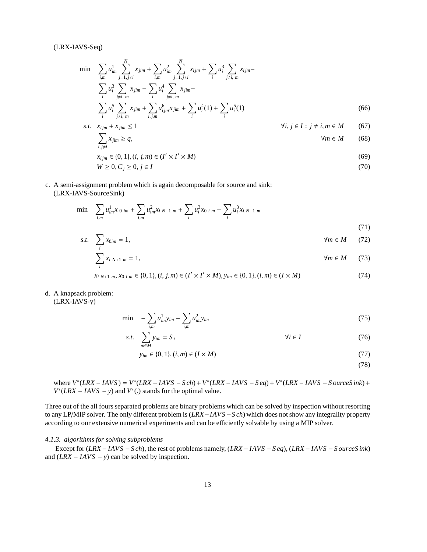### (LRX-IAVS-Seq)

$$
\min \sum_{i,m} u_{im}^1 \sum_{j=1, j\neq i}^N x_{jim} + \sum_{i,m} u_{im}^2 \sum_{j=1, j\neq i}^N x_{ijm} + \sum_i u_i^3 \sum_{j\neq i, m} x_{ijm} - \sum_i u_i^4 \sum_{j\neq i, m}^N x_{jim} - \sum_i u_i^4 \sum_{j\neq i, m}^N x_{jim} - \sum_i u_i^5 \sum_{j\neq i, m}^N x_{jim} + \sum_i u_i^6 (1) + \sum_i u_i^5 (1)
$$
\n(66)

s.t. 
$$
x_{ijm} + x_{jim} \le 1
$$
  $\forall i, j \in I : j \ne i, m \in M$  (67)

$$
\sum_{i,j\neq i} x_{jim} \ge q, \qquad \qquad \forall m \in M \qquad (68)
$$

$$
x_{ijm} \in \{0, 1\}, (i, j, m) \in (I' \times I' \times M)
$$
\n(69)

$$
W \ge 0, C_j \ge 0, j \in I \tag{70}
$$

c. A semi-assignment problem which is again decomposable for source and sink: (LRX-IAVS-SourceSink)

$$
\min \sum_{i,m} u_{im}^1 x_{0\,im} + \sum_{i,m} u_{im}^2 x_{i\,N+1\,m} + \sum_i u_i^3 x_{0\,i\,m} - \sum_i u_i^3 x_{i\,N+1\,m} \tag{71}
$$

$$
s.t. \quad \sum_{i} x_{0im} = 1, \qquad \qquad \forall m \in M \qquad (72)
$$

$$
\sum_{i} x_{i \ N+1 \ m} = 1, \qquad \qquad \forall m \in M \qquad (73)
$$

$$
x_{i\ N+1\ m}, x_{0\ i\ m} \in \{0, 1\}, (i, j, m) \in (I' \times I' \times M), y_{im} \in \{0, 1\}, (i, m) \in (I \times M)
$$
\n
$$
(74)
$$

### d. A knapsack problem:

(LRX-IAVS-y)

$$
\min \quad -\sum_{i,m} u_{im}^1 y_{im} - \sum_{i,m} u_{im}^2 y_{im} \tag{75}
$$

$$
s.t. \sum_{m \in M} y_{im} = S_i \qquad \forall i \in I \tag{76}
$$

$$
y_{im} \in \{0, 1\}, (i, m) \in (I \times M)
$$
\n(77)

(78)

 $W = V^*(LRX - IAVS) = V^*(LRX - IAVS - Sch) + V^*(LRX - IAVS - Seq) + V^*(LRX - IAVS - S ourceSink) + V^*(LRX - IAVS - S amceS)$  $V^*(LRX - IAVS - y)$  and  $V^*(.)$  stands for the optimal value.

Three out of the all fours separated problems are binary problems which can be solved by inspection without resorting to any LP/MIP solver. The only different problem is (*LRX*−*IAVS* −*S ch*) which does not show any integrality property according to our extensive numerical experiments and can be efficiently solvable by using a MIP solver.

### *4.1.3. algorithms for solving subproblems*

Except for (*LRX* − *IAVS* −*S ch*), the rest of problems namely, (*LRX* − *IAVS* −*S eq*), (*LRX* − *IAVS* −*S ourceS ink*) and (*LRX* − *IAVS* − *y*) can be solved by inspection.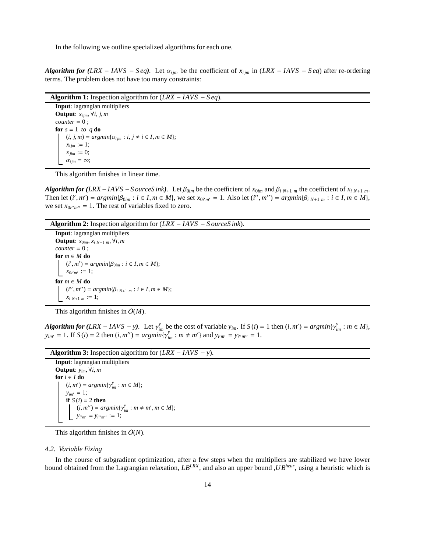In the following we outline specialized algorithms for each one.

*Algorithm for (LRX* – *IAVS* – *Seq*). Let  $\alpha_{ijm}$  be the coefficient of  $x_{ijm}$  in (*LRX* – *IAVS* – *Seq*) after re-ordering terms. The problem does not have too many constraints:

| <b>Algorithm 1:</b> Inspection algorithm for $(LRX - IAVS - Seq)$ .                        |  |  |  |  |  |  |  |  |
|--------------------------------------------------------------------------------------------|--|--|--|--|--|--|--|--|
| <b>Input:</b> lagrangian multipliers                                                       |  |  |  |  |  |  |  |  |
| <b>Output:</b> $x_{i,m}$ , $\forall i, j, m$                                               |  |  |  |  |  |  |  |  |
| $counter = 0$ :                                                                            |  |  |  |  |  |  |  |  |
| for $s = 1$ to q do                                                                        |  |  |  |  |  |  |  |  |
| $(i, j, m) = argmin{\lbrace \alpha_{ijm} : i, j \neq i \in I, m \in M \rbrace};$           |  |  |  |  |  |  |  |  |
| $\begin{aligned} x_{ijm} &:= 1;\\ x_{jim} &:= 0;\\ \alpha_{ijm} & = \infty; \end{aligned}$ |  |  |  |  |  |  |  |  |
|                                                                                            |  |  |  |  |  |  |  |  |
|                                                                                            |  |  |  |  |  |  |  |  |

This algorithm finishes in linear time.

*Algorithm for (LRX* − *IAVS* − *S ourceS ink*). Let  $\beta_{0im}$  be the coefficient of  $x_{0im}$  and  $\beta_{i}$   $_{N+1}$   $_m$  the coefficient of  $x_{i}$   $_{N+1}$   $_m$ . Then let  $(i', m') = argmin{\beta_{0im} : i \in I, m \in M}$ , we set  $x_{0im'} = 1$ . Also let  $(i'', m'') = argmin{\beta_{i,N+1}}_m : i \in I, m \in M$ , we set  $x_{0i''m''} = 1$ . The rest of variables fixed to zero.

**Algorithm 2:** Inspection algorithm for (*LRX* − *IAVS* − *S ourceS ink*).

**Input**: lagrangian multipliers **Output**:  $x_{0im}$ ,  $x_{i}$ ,  $x_{j+1}$ ,  $m$ ,  $\forall i$ ,  $m$  $counter = 0$ ; **for** *m* ∈ *M* **do**  $(i', m') = argmin\{\beta_{0im} : i \in I, m \in M\};$  $x_{0i'm'} := 1;$ **for** *m* ∈ *M* **do**  $(i'', m'') = argmin\{\beta_{i,N+1,m} : i \in I, m \in M\};$  $x_i_{N+1,m} := 1;$ 

This algorithm finishes in O(*M*).

**Algorithm for**  $(LRX - IAVS - y)$ . Let  $\gamma_{im}^{y}$  be the cost of variable  $y_{im}$ . If  $S(i) = 1$  then  $(i, m') = argmin{\gamma_{im}^{y}} : m \in M$ ,  $y_{im'} = 1$ . If  $S(i) = 2$  then  $(i, m'') = argmin{\{\gamma_{im}^y : m \neq m'\}}$  and  $y_{i'm'} = y_{i'm''} = 1$ .

**Algorithm 3:** Inspection algorithm for (*LRX* − *IAVS* − *y*).

**Input**: lagrangian multipliers **Output**: *yim*, ∀*i*, *m* **for**  $i \in I$  **do**  $(i, m') = argmin\{\gamma_{im}^y : m \in M\};$  $y_{im'} = 1$ ; **if**  $S(i) = 2$  **then**  $(i, m'') = argmin{\gamma_{im}^y : m \neq m', m \in M};$  $y_{i'm'} = y_{i''m''} := 1;$ 

This algorithm finishes in O(*N*).

### *4.2. Variable Fixing*

In the course of subgradient optimization, after a few steps when the multipliers are stabilized we have lower bound obtained from the Lagrangian relaxation, *LBLRX*, and also an upper bound ,*UBheur*, using a heuristic which is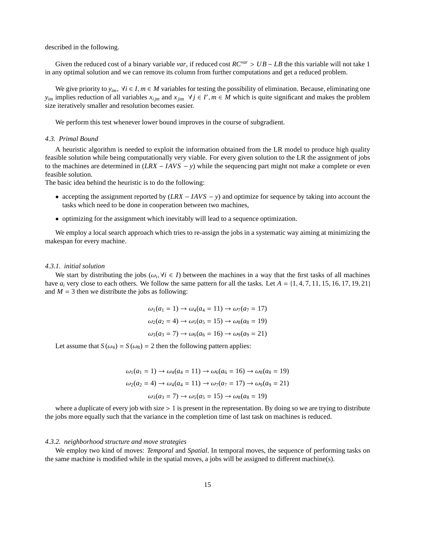described in the following.

Given the reduced cost of a binary variable *var*, if reduced cost  $RC^{var} > UB - LB$  the this variable will not take 1 in any optimal solution and we can remove its column from further computations and get a reduced problem.

We give priority to  $y_{im}$ ,  $\forall i \in I, m \in M$  variables for testing the possibility of elimination. Because, eliminating one *y*<sub>im</sub> implies reduction of all variables  $x_{ijm}$  and  $x_{jim}$   $\forall j \in I', m \in M$  which is quite significant and makes the problem size iteratively smaller and resolution becomes easier.

We perform this test whenever lower bound improves in the course of subgradient.

### *4.3. Primal Bound*

A heuristic algorithm is needed to exploit the information obtained from the LR model to produce high quality feasible solution while being computationally very viable. For every given solution to the LR the assignment of jobs to the machines are determined in (*LRX* − *IAVS* − *y*) while the sequencing part might not make a complete or even feasible solution.

The basic idea behind the heuristic is to do the following:

- accepting the assignment reported by (*LRX* − *IAVS* − *y*) and optimize for sequence by taking into account the tasks which need to be done in cooperation between two machines,
- optimizing for the assignment which inevitably will lead to a sequence optimization.

We employ a local search approach which tries to re-assign the jobs in a systematic way aiming at minimizing the makespan for every machine.

### *4.3.1. initial solution*

We start by distributing the jobs ( $\omega_i$ ,  $\forall i \in I$ ) between the machines in a way that the first tasks of all machines have  $a_i$  very close to each others. We follow the same pattern for all the tasks. Let  $A = \{1, 4, 7, 11, 15, 16, 17, 19, 21\}$ and  $M = 3$  then we distribute the jobs as following:

$$
\omega_1(a_1 = 1) \rightarrow \omega_4(a_4 = 11) \rightarrow \omega_7(a_7 = 17)
$$
  

$$
\omega_2(a_2 = 4) \rightarrow \omega_5(a_5 = 15) \rightarrow \omega_8(a_8 = 19)
$$
  

$$
\omega_3(a_3 = 7) \rightarrow \omega_6(a_6 = 16) \rightarrow \omega_9(a_9 = 21)
$$

Let assume that  $S(\omega_4) = S(\omega_8) = 2$  then the following pattern applies:

$$
\omega_1(a_1 = 1) \rightarrow \omega_4(a_4 = 11) \rightarrow \omega_6(a_6 = 16) \rightarrow \omega_8(a_8 = 19)
$$
  

$$
\omega_2(a_2 = 4) \rightarrow \omega_4(a_4 = 11) \rightarrow \omega_7(a_7 = 17) \rightarrow \omega_9(a_9 = 21)
$$
  

$$
\omega_3(a_3 = 7) \rightarrow \omega_5(a_5 = 15) \rightarrow \omega_8(a_8 = 19)
$$

where a duplicate of every job with size  $> 1$  is present in the representation. By doing so we are trying to distribute the jobs more equally such that the variance in the completion time of last task on machines is reduced.

### *4.3.2. neighborhood structure and move strategies*

We employ two kind of moves: *Temporal* and *Spatial*. In temporal moves, the sequence of performing tasks on the same machine is modified while in the spatial moves, a jobs will be assigned to different machine(s).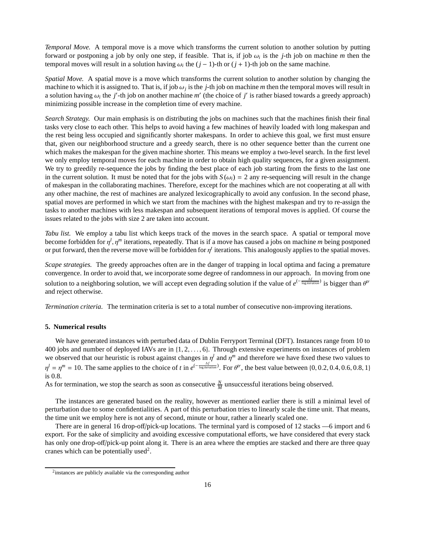*Temporal Move.* A temporal move is a move which transforms the current solution to another solution by putting forward or postponing a job by only one step, if feasible. That is, if job  $\omega_i$  is the *j*-th job on machine *m* then the temporal moves will result in a solution having  $\omega_i$  the  $(j-1)$ -th or  $(j+1)$ -th job on the same machine.

*Spatial Move.* A spatial move is a move which transforms the current solution to another solution by changing the machine to which it is assigned to. That is, if job  $\omega_j$  is the *j*-th job on machine *m* then the temporal moves will result in a solution having  $\omega_i$  the *j'*-th job on another machine  $m'$  (the choice of *j'* is rather biased towards a greedy approach) minimizing possible increase in the completion time of every machine.

*Search Strategy.* Our main emphasis is on distributing the jobs on machines such that the machines finish their final tasks very close to each other. This helps to avoid having a few machines of heavily loaded with long makespan and the rest being less occupied and significantly shorter makespans. In order to achieve this goal, we first must ensure that, given our neighborhood structure and a greedy search, there is no other sequence better than the current one which makes the makespan for the given machine shorter. This means we employ a two-level search. In the first level we only employ temporal moves for each machine in order to obtain high quality sequences, for a given assignment. We try to greedily re-sequence the jobs by finding the best place of each job starting from the firsts to the last one in the current solution. It must be noted that for the jobs with  $S(\omega_i) = 2$  any re-sequencing will result in the change of makespan in the collaborating machines. Therefore, except for the machines which are not cooperating at all with any other machine, the rest of machines are analyzed lexicographically to avoid any confusion. In the second phase, spatial moves are performed in which we start from the machines with the highest makespan and try to re-assign the tasks to another machines with less makespan and subsequent iterations of temporal moves is applied. Of course the issues related to the jobs with size 2 are taken into account.

*Tabu list.* We employ a tabu list which keeps track of the moves in the search space. A spatial or temporal move become forbidden for  $\eta^l$ ,  $\eta^m$  iterations, repeatedly. That is if a move has caused a jobs on machine *m* being postponed or put forward, then the reverse move will be forbidden for  $\eta^t$  iterations. This analogously applies to the spatial moves.

*Scape strategies.* The greedy approaches often are in the danger of trapping in local optima and facing a premature convergence. In order to avoid that, we incorporate some degree of randomness in our approach. In moving from one solution to a neighboring solution, we will accept even degrading solution if the value of  $e^{(-\frac{\Delta f}{\log iteration})}$  is bigger than  $\theta^{tr}$ and reject otherwise.

*Termination criteria.* The termination criteria is set to a total number of consecutive non-improving iterations.

### **5. Numerical results**

We have generated instances with perturbed data of Dublin Ferryport Terminal (DFT). Instances range from 10 to 400 jobs and number of deployed IAVs are in {1, 2, . . . , 6}. Through extensive experiments on instances of problem we observed that our heuristic is robust against changes in  $\eta^l$  and  $\eta^m$  and therefore we have fixed these two values to  $\eta^l = \eta^m = 10$ . The same applies to the choice of *t* in  $e^{(-\frac{\Delta f}{\log iteration})}$ . For  $\theta^l$ , the best value between {0, 0.2, 0.4, 0.6, 0.8, 1} is 0.8.

As for termination, we stop the search as soon as consecutive  $\frac{N}{M}$  unsuccessful iterations being observed.

The instances are generated based on the reality, however as mentioned earlier there is still a minimal level of perturbation due to some confidentialities. A part of this perturbation tries to linearly scale the time unit. That means, the time unit we employ here is not any of second, minute or hour, rather a linearly scaled one.

There are in general 16 drop-off/pick-up locations. The terminal yard is composed of 12 stacks —6 import and 6 export. For the sake of simplicity and avoiding excessive computational efforts, we have considered that every stack has only one drop-off/pick-up point along it. There is an area where the empties are stacked and there are three quay cranes which can be potentially used<sup>2</sup>.

<sup>&</sup>lt;sup>2</sup> instances are publicly available via the corresponding author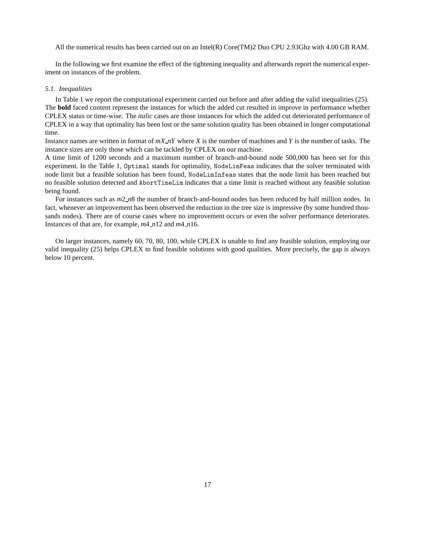All the numerical results has been carried out on an Intel(R) Core(TM)2 Duo CPU 2.93Ghz with 4.00 GB RAM.

In the following we first examine the effect of the tightening inequality and afterwards report the numerical experiment on instances of the problem.

#### *5.1. Inequalities*

In Table 1 we report the computational experiment carried out before and after adding the valid inequalities (25). The **bold** faced content represent the instances for which the added cut resulted in improve in performance whether CPLEX status or time-wise. The *italic* cases are those instances for which the added cut deteriorated performance of CPLEX in a way that optimality has been lost or the same solution quality has been obtained in longer computational time.

Instance names are written in format of *mX nY* where *X* is the number of machines and *Y* is the number of tasks. The instance sizes are only those which can be tackled by CPLEX on our machine.

A time limit of 1200 seconds and a maximum number of branch-and-bound node 500,000 has been set for this experiment. In the Table 1, Optimal stands for optimality, NodeLimFeas indicates that the solver terminated with node limit but a feasible solution has been found, NodeLimInfeas states that the node limit has been reached but no feasible solution detected and AbortTimeLim indicates that a time limit is reached without any feasible solution being found.

For instances such as *m*2 *n*8 the number of branch-and-bound nodes has been reduced by half million nodes. In fact, whenever an improvement has been observed the reduction in the tree size is impressive (by some hundred thousands nodes). There are of course cases where no improvement occurs or even the solver performance deteriorates. Instances of that are, for example, *m*4 *n*12 and *m*4 *n*16.

On larger instances, namely 60, 70, 80, 100, while CPLEX is unable to find any feasible solution, employing our valid inequality (25) helps CPLEX to find feasible solutions with good qualities. More precisely, the gap is always below 10 percent.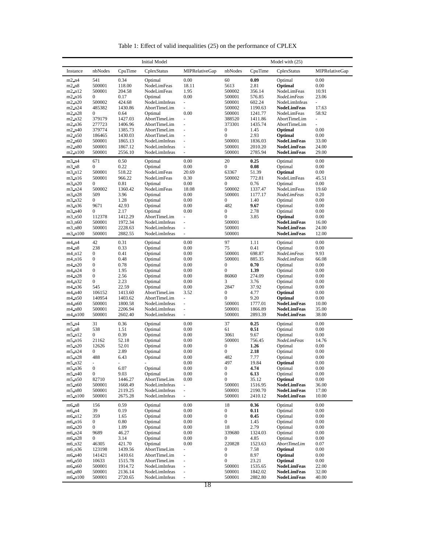| <b>Initial Model</b>           |                  |                          |                                |                                                 | Model with $(25)$                    |                    |                                          |                          |  |  |  |
|--------------------------------|------------------|--------------------------|--------------------------------|-------------------------------------------------|--------------------------------------|--------------------|------------------------------------------|--------------------------|--|--|--|
| Instance                       | nbNodes          | CpuTime                  | CplexStatus                    | <b>MIPRelativeGap</b>                           | nbNodes                              | CpuTime            | CplexStatus                              | <b>MIPRelativeGap</b>    |  |  |  |
| $m2_n4$                        | 541              | 0.34                     | Optimal                        | 0.00                                            | 60                                   | 0.09               | Optimal                                  | 0.00                     |  |  |  |
| $m2-n8$                        | 500001           | 118.00                   | NodeLimFeas                    | 18.11                                           | 5613                                 | 2.81               | Optimal                                  | 0.00                     |  |  |  |
| m2 n12                         | 500001           | 204.58                   | NodeLimFeas                    | 1.95                                            | 500002                               | 356.14             | NodeLimFeas                              | 10.91                    |  |  |  |
| m2 n16                         | $\mathbf{0}$     | 0.17                     | Optimal                        | 0.00                                            | 500001                               | 576.85             | <b>NodeLimFeas</b>                       | 23.06                    |  |  |  |
| $m2_n20$                       | 500002           | 424.68                   | NodeLimInfeas                  | $\overline{\phantom{a}}$                        | 500001                               | 602.24             | NodeLimInfeas                            | ÷.                       |  |  |  |
| m2_n24                         | 485382           | 1430.86                  | AbortTimeLim                   |                                                 | 500002                               | 1190.63            | <b>NodeLimFeas</b>                       | 17.63                    |  |  |  |
| m2_n28                         | $\mathbf{0}$     | 0.64                     | Optimal                        | 0.00                                            | 500001                               | 1241.77            | NodeLimFeas                              | 58.92                    |  |  |  |
| $m2_n32$                       | 379179           | 1427.03                  | AbortTimeLim                   | ÷,                                              | 388520                               | 1411.86            | AbortTimeLim                             | $\overline{\phantom{a}}$ |  |  |  |
| m2_n36                         | 277723           | 1406.96                  | AbortTimeLim                   |                                                 | 373301                               | 1435.74            | AbortTimeLim                             |                          |  |  |  |
| m2 n40                         | 379774           | 1385.73                  | AbortTimeLim                   | ÷,                                              | $\bf{0}$                             | 1.45               | Optimal                                  | 0.00                     |  |  |  |
| $m2_n50$                       | 186465           | 1430.03                  | AbortTimeLim                   | $\overline{\phantom{a}}$                        | $\mathbf{0}$                         | 2.93               | Optimal                                  | 0.00                     |  |  |  |
| $m2_n60$                       | 500001           | 1865.13                  | NodeLimInfeas                  |                                                 | 500001                               | 1836.03            | <b>NodeLimFeas</b>                       | 33.00                    |  |  |  |
| m2_n80                         | 500001           | 1867.12                  | NodeLimInfeas                  | ÷.                                              | 500001                               | 2010.20            | <b>NodeLimFeas</b>                       | 24.00                    |  |  |  |
| $m2_n100$                      | 500001           | 2556.10                  | NodeLimInfeas                  | ÷,                                              | 500001                               | 2785.94            | <b>NodeLimFeas</b>                       | 29.00                    |  |  |  |
| m3 n4                          | 671              | 0.50                     | Optimal                        | 0.00                                            | 20                                   | 0.25               | Optimal                                  | 0.00                     |  |  |  |
| $m3$ $n8$                      | $\mathbf{0}$     | 0.22                     | Optimal                        | 0.00                                            | $\boldsymbol{0}$                     | 0.08               | Optimal                                  | 0.00                     |  |  |  |
| m3_n12                         | 500001           | 518.22                   | NodeLimFeas                    | 20.69                                           | 63367                                | 51.39              | Optimal                                  | 0.00                     |  |  |  |
| m3 n16                         | 500001           | 966.22                   | NodeLimFeas                    | 0.30                                            | 500002                               | 772.81             | NodeLimFeas                              | 45.51                    |  |  |  |
| $m3_n20$                       | $\mathbf{0}$     | 0.81                     | Optimal                        | 0.00                                            | $\boldsymbol{0}$                     | 0.76               | Optimal                                  | 0.00                     |  |  |  |
| m3 n24                         | 500002           | 1360.42                  | NodeLimFeas                    | 18.08                                           | 500002                               | 1337.47            | NodeLimFeas                              | 19.60                    |  |  |  |
| m3 n28                         | 509              | 3.96                     | Optimal                        | 0.00                                            | 500001                               | 1177.17            | <b>NodeLimFeas</b>                       | 0.20                     |  |  |  |
| m3 n32                         | 0                | 1.28                     | Optimal                        | 0.00                                            | $\boldsymbol{0}$                     | 1.40               | Optimal                                  | 0.00                     |  |  |  |
| m3 n36                         | 9671             | 42.93                    | Optimal                        | 0.00                                            | 482                                  | 9.67               | Optimal                                  | 0.00                     |  |  |  |
| $m3_n40$                       | $\mathbf{0}$     | 2.17                     | Optimal                        | 0.00                                            | $\boldsymbol{0}$                     | 2.78               | Optimal                                  | 0.00                     |  |  |  |
| m3 n50                         | 112378           | 1412.29                  | AbortTimeLim                   | $\overline{\phantom{a}}$                        | $\boldsymbol{0}$                     | 3.85               | Optimal                                  | 0.00                     |  |  |  |
| m <sub>3</sub> n <sub>60</sub> | 500001           | 1972.34                  | NodeLimInfeas                  | $\blacksquare$                                  | 500001                               |                    | <b>NodeLimFeas</b>                       | 16.00                    |  |  |  |
| m3_n80                         | 500001           | 2228.63                  | NodeLimInfeas                  | ÷,                                              | 500001                               |                    | <b>NodeLimFeas</b>                       | 24.00                    |  |  |  |
| $m3_n100$                      | 500001           | 2882.55                  | NodeLimInfeas                  | $\overline{\phantom{a}}$                        | 500001                               |                    | <b>NodeLimFeas</b>                       | 12.00                    |  |  |  |
| $m4_n4$                        | 42               | 0.31                     | Optimal                        | 0.00                                            | 97                                   | 1.11               | Optimal                                  | 0.00                     |  |  |  |
| $m4$ $n8$                      | 238              | 0.33                     | Optimal                        | 0.00                                            | 75                                   | 0.41               | Optimal                                  | 0.00                     |  |  |  |
| m4 n12                         | $\mathbf{0}$     | 0.41                     | Optimal                        | 0.00                                            | 500001                               | 698.87             | <b>NodeLimFeas</b>                       | 9.93                     |  |  |  |
| m4 n16                         | $\boldsymbol{0}$ | 0.48                     | Optimal                        | 0.00                                            | 500001                               | 885.35             | NodeLimFeas                              | 66.08                    |  |  |  |
| m4 n20                         | $\boldsymbol{0}$ | 0.78                     | Optimal                        | 0.00                                            | $\boldsymbol{0}$                     | 0.70               | Optimal                                  | 0.00                     |  |  |  |
| m4 n24                         | $\boldsymbol{0}$ | 1.95                     | Optimal                        | 0.00                                            | $\boldsymbol{0}$                     | 1.39               | Optimal                                  | 0.00                     |  |  |  |
| m4 n28                         | $\boldsymbol{0}$ | 2.56                     | Optimal                        | 0.00                                            | 86060                                | 274.09             | Optimal                                  | 0.00                     |  |  |  |
| m4 n32                         | 0                | 2.23                     | Optimal                        | 0.00                                            | 3                                    | 3.76               | Optimal                                  | 0.00                     |  |  |  |
| m4 n36                         | 545              | 22.59                    | Optimal                        | 0.00                                            | 2847                                 | 37.92              | Optimal                                  | 0.00                     |  |  |  |
| m4 n40                         | 106152           | 1413.60                  | AbortTimeLim                   | 3.52                                            | $\mathbf{0}$                         | 4.77               | Optimal                                  | 0.00                     |  |  |  |
| m4 n50                         | 140954           | 1403.62                  | AbortTimeLim                   | ÷,                                              | $\mathbf{0}$                         | 9.20               | Optimal                                  | 0.00                     |  |  |  |
| m4_n60                         | 500001           | 1800.58                  | NodeLimInfeas                  | ä,                                              | 500001                               | 1777.01            | <b>NodeLimFeas</b>                       | 10.00                    |  |  |  |
| m4 n80                         | 500001           | 2206.94                  | NodeLimInfeas                  | $\blacksquare$                                  | 500001                               | 1866.89            | <b>NodeLimFeas</b>                       | 35.00                    |  |  |  |
| $m4_n100$                      | 500001           | 2602.40                  | NodeLimInfeas                  | $\overline{\phantom{a}}$                        | 500001                               | 2893.39            | <b>NodeLimFeas</b>                       | 38.00                    |  |  |  |
| m5 n4                          | 31               | 0.36                     | Optimal                        | 0.00                                            | 37                                   | 0.25               | Optimal                                  | 0.00                     |  |  |  |
| m5m8                           | 538              | 1.51                     | Optimal                        | 0.00                                            | 61                                   | 0.51               | Optimal                                  | 0.00                     |  |  |  |
| $m5_m12$                       | 0                | 0.39                     | Optimal                        | 0.00                                            | 3061                                 | 9.67               | Optimal                                  | 0.00                     |  |  |  |
| $m5$ $n16$                     | 21162            | 52.18                    | Optimal                        | 0.00                                            | 500001                               | 756.45             | <b>NodeLimFeas</b>                       | 14.76                    |  |  |  |
| m5 n20                         | 12626            | 52.01                    | Optimal                        | 0.00                                            | $\bf{0}$                             | 1.26               | Optimal                                  | 0.00                     |  |  |  |
| m5_n24                         | 0                | 2.89                     | Optimal                        | 0.00                                            | $\boldsymbol{0}$                     | 2.18               | Optimal                                  | 0.00                     |  |  |  |
| $m5$ $n28$                     | 488              | 6.43                     | Optimal                        | 0.00                                            | 482                                  | 7.77               | Optimal                                  | 0.00                     |  |  |  |
| m5 n32                         |                  | $\overline{\phantom{0}}$ | $\bar{\phantom{a}}$            | 0.00                                            | 497                                  | 19.84              | Optimal                                  | 0.00                     |  |  |  |
| m5 n36                         | $\bf{0}$         | 6.07                     | Optimal                        | 0.00                                            | 0                                    | 4.74               | Optimal                                  | 0.00                     |  |  |  |
| m5 n40                         | $\boldsymbol{0}$ | 9.03                     | Optimal                        | 0.00                                            | $\boldsymbol{0}$                     | 6.13               | Optimal                                  | 0.00                     |  |  |  |
| m5 n50                         | 82710            | 1446.27                  | AbortTimeLim                   | 0.00                                            | $\boldsymbol{0}$                     | 35.12              | Optimal                                  | 0.00                     |  |  |  |
| m5 n60                         | 500001<br>500001 | 1668.49<br>2119.25       | NodeLimInfeas<br>NodeLimInfeas | $\overline{\phantom{a}}$<br>$\bar{\phantom{a}}$ | 500001<br>500001                     | 1516.95<br>2190.70 | <b>NodeLimFeas</b><br><b>NodeLimFeas</b> | 36.00<br>17.00           |  |  |  |
| m5 n80<br>$m5_n100$            | 500001           | 2675.28                  | NodeLimInfeas                  |                                                 | 500001                               | 2410.12            | <b>NodeLimFeas</b>                       | 10.00                    |  |  |  |
|                                |                  |                          |                                |                                                 |                                      |                    |                                          |                          |  |  |  |
| m6_n8                          | 156              | 0.59                     | Optimal                        | 0.00                                            | 18                                   | 0.36               | Optimal                                  | 0.00                     |  |  |  |
| m6 n4                          | 39               | 0.19                     | Optimal                        | 0.00                                            | $\boldsymbol{0}$                     | 0.11               | Optimal                                  | 0.00                     |  |  |  |
| m6 n12                         | 359              | 1.65                     | Optimal                        | 0.00                                            | $\boldsymbol{0}$                     | 0.45               | Optimal                                  | 0.00                     |  |  |  |
| m6 n16                         | 0                | 0.80                     | Optimal                        | 0.00                                            | $\boldsymbol{0}$                     | 1.45               | Optimal                                  | 0.00                     |  |  |  |
| m6 n20                         | $\boldsymbol{0}$ | 1.09                     | Optimal                        | 0.00                                            | 18<br>339680                         | 2.79               | Optimal                                  | 0.00                     |  |  |  |
| m6 n24                         | 9689             | 46.27                    | Optimal                        | 0.00                                            |                                      | 1324.03            | Optimal                                  | 0.00                     |  |  |  |
| m6 n28                         | $\boldsymbol{0}$ | 3.14                     | Optimal                        | 0.00                                            | 0                                    | 4.85               | Optimal                                  | 0.00                     |  |  |  |
| m6 n32                         | 46305            | 421.70                   | Optimal                        | 0.00                                            | 220828                               | 1523.63            | <b>AbortTimeLim</b>                      | 0.07                     |  |  |  |
| m6 n36                         | 123198           | 1439.56                  | AbortTimeLim<br>AbortTimeLim   | ÷,                                              | $\boldsymbol{0}$                     | 7.58               | Optimal                                  | 0.00                     |  |  |  |
| m6 n40                         | 141421           | 1410.61                  |                                | ۰                                               | $\boldsymbol{0}$<br>$\boldsymbol{0}$ | 8.97               | Optimal                                  | 0.00                     |  |  |  |
| m6 n50                         | 10633            | 1515.78                  | AbortTimeLim                   | $\blacksquare$<br>÷,                            | 500001                               | 23.21              | Optimal<br><b>NodeLimFeas</b>            | $0.00\,$                 |  |  |  |
| m6_n60<br>m6 n80               | 500001<br>500001 | 1914.72<br>2136.14       | NodeLimInfeas<br>NodeLimInfeas |                                                 | 500001                               | 1535.65<br>1842.02 | <b>NodeLimFeas</b>                       | 22.00<br>32.00           |  |  |  |
| m6 n100                        | 500001           | 2720.65                  | NodeLimInfeas                  | $\overline{\phantom{a}}$                        | 500001                               | 2882.80            | <b>NodeLimFeas</b>                       | 40.00                    |  |  |  |
|                                |                  |                          |                                |                                                 |                                      |                    |                                          |                          |  |  |  |

Table 1: Effect of valid inequalities (25) on the performance of CPLEX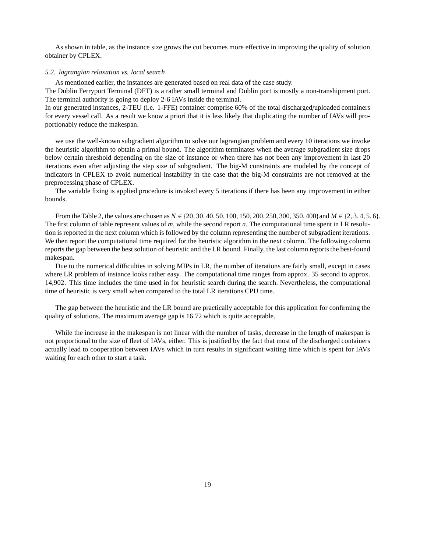As shown in table, as the instance size grows the cut becomes more effective in improving the quality of solution obtainer by CPLEX.

### *5.2. lagrangian relaxation vs. local search*

As mentioned earlier, the instances are generated based on real data of the case study.

The Dublin Ferryport Terminal (DFT) is a rather small terminal and Dublin port is mostly a non-transhipment port. The terminal authority is going to deploy 2-6 IAVs inside the terminal.

In our generated instances, 2-TEU (i.e. 1-FFE) container comprise 60% of the total discharged/uploaded containers for every vessel call. As a result we know a priori that it is less likely that duplicating the number of IAVs will proportionably reduce the makespan.

we use the well-known subgradient algorithm to solve our lagrangian problem and every 10 iterations we invoke the heuristic algorithm to obtain a primal bound. The algorithm terminates when the average subgradient size drops below certain threshold depending on the size of instance or when there has not been any improvement in last 20 iterations even after adjusting the step size of subgradient. The big-M constraints are modeled by the concept of indicators in CPLEX to avoid numerical instability in the case that the big-M constraints are not removed at the preprocessing phase of CPLEX.

The variable fixing is applied procedure is invoked every 5 iterations if there has been any improvement in either bounds.

From the Table 2, the values are chosen as *N* ∈ {20, 30, 40, 50, 100, 150, 200, 250, 300, 350, 400} and *M* ∈ {2, 3, 4, 5, 6}. The first column of table represent values of *m*, while the second report *n*. The computational time spent in LR resolution is reported in the next column which is followed by the column representing the number of subgradient iterations. We then report the computational time required for the heuristic algorithm in the next column. The following column reports the gap between the best solution of heuristic and the LR bound. Finally, the last column reports the best-found makespan.

Due to the numerical difficulties in solving MIPs in LR, the number of iterations are fairly small, except in cases where LR problem of instance looks rather easy. The computational time ranges from approx. 35 second to approx. 14,902. This time includes the time used in for heuristic search during the search. Nevertheless, the computational time of heuristic is very small when compared to the total LR iterations CPU time.

The gap between the heuristic and the LR bound are practically acceptable for this application for confirming the quality of solutions. The maximum average gap is 16.72 which is quite acceptable.

While the increase in the makespan is not linear with the number of tasks, decrease in the length of makespan is not proportional to the size of fleet of IAVs, either. This is justified by the fact that most of the discharged containers actually lead to cooperation between IAVs which in turn results in significant waiting time which is spent for IAVs waiting for each other to start a task.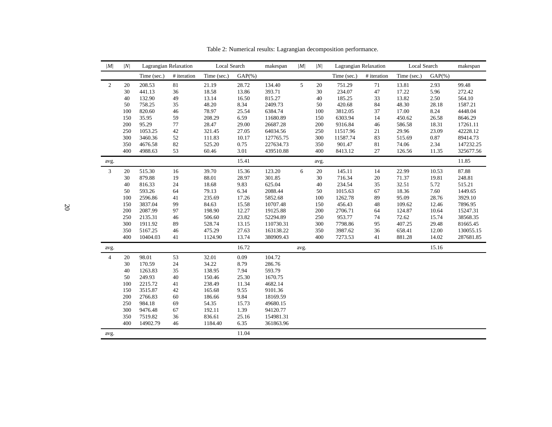| M              | N      | Lagrangian Relaxation |             | Local Search |            | makespan  | M    | N    | Lagrangian Relaxation |             | Local Search |            | makespan  |
|----------------|--------|-----------------------|-------------|--------------|------------|-----------|------|------|-----------------------|-------------|--------------|------------|-----------|
|                |        | Time (sec.)           | # iteration | Time (sec.)  | $GAP(\% )$ |           |      |      | Time (sec.)           | # iteration | Time (sec.)  | $GAP(\% )$ |           |
| $\overline{2}$ | 20     | 208.53                | 81          | 21.19        | 28.72      | 134.40    | 5    | 20   | 751.29                | 71          | 13.81        | 2.93       | 99.48     |
|                | 30     | 441.13                | 36          | 18.58        | 13.86      | 393.71    |      | 30   | 234.07                | 47          | 17.22        | 5.96       | 272.42    |
|                | 40     | 132.90                | 49          | 13.14        | 16.50      | 815.27    |      | 40   | 185.25                | 33          | 13.82        | 2.50       | 564.10    |
|                | 50     | 758.25                | 35          | 48.20        | 8.34       | 2409.73   |      | 50   | 420.68                | 84          | 48.30        | 28.18      | 1587.21   |
|                | 100    | 820.60                | 46          | 78.97        | 25.54      | 6384.74   |      | 100  | 3812.05               | 37          | 17.00        | 8.24       | 4448.04   |
|                | 150    | 35.95                 | 59          | 208.29       | 6.59       | 11680.89  |      | 150  | 6303.94               | 14          | 450.62       | 26.58      | 8646.29   |
|                | 200    | 95.29                 | $77\,$      | 28.47        | 29.00      | 26687.28  |      | 200  | 9316.84               | 46          | 586.58       | 18.31      | 17261.11  |
|                | 250    | 1053.25               | 42          | 321.45       | 27.05      | 64034.56  |      | 250  | 11517.96              | 21          | 29.96        | 23.09      | 42228.12  |
|                | 300    | 3460.36               | 52          | 111.83       | 10.17      | 127765.75 |      | 300  | 11587.74              | 83          | 515.69       | 0.87       | 89414.73  |
|                | 350    | 4676.58               | 82          | 525.20       | 0.75       | 227634.73 |      | 350  | 901.47                | 81          | 74.06        | 2.34       | 147232.25 |
|                | 400    | 4988.63               | 53          | 60.46        | 3.01       | 439510.88 |      | 400  | 8413.12               | 27          | 126.56       | 11.35      | 325677.56 |
| avg.           |        |                       |             |              | 15.41      |           |      | avg. |                       |             |              |            | 11.85     |
| $\mathfrak{Z}$ | 20     | 515.30                | 16          | 39.70        | 15.36      | 123.20    | 6    | 20   | 145.11                | 14          | 22.99        | 10.53      | 87.88     |
|                | 30     | 879.88                | 19          | 88.01        | 28.97      | 301.85    |      | 30   | 716.34                | 20          | 71.37        | 19.81      | 248.81    |
|                | 40     | 816.33                | 24          | 18.68        | 9.83       | 625.04    |      | 40   | 234.54                | 35          | 32.51        | 5.72       | 515.21    |
|                | 50     | 593.26                | 64          | 79.13        | 6.34       | 2088.44   |      | 50   | 1015.63               | 67          | 18.36        | 7.60       | 1449.65   |
|                | 100    | 2596.86               | 41          | 235.69       | 17.26      | 5852.68   |      | 100  | 1262.78               | 89          | 95.09        | 28.76      | 3929.10   |
|                | 150    | 3837.04               | 99          | 84.63        | 15.58      | 10707.48  |      | 150  | 456.43                | 48          | 109.62       | 12.46      | 7896.95   |
|                | 200    | 2087.99               | 97          | 198.90       | 12.27      | 19125.88  |      | 200  | 2706.71               | 64          | 124.87       | 10.64      | 15247.31  |
|                | 250    | 2135.31               | 46          | 506.60       | 23.82      | 52294.89  |      | 250  | 953.77                | 74          | 72.62        | 15.74      | 38568.35  |
|                | 300    | 1911.92               | 89          | 528.74       | 13.15      | 110730.31 |      | 300  | 7798.86               | 95          | 407.25       | 29.48      | 81665.45  |
|                | 350    | 5167.25               | 46          | 475.29       | 27.63      | 163138.22 |      | 350  | 3987.62               | 36          | 658.41       | 12.00      | 130055.15 |
|                | 400    | 10404.03              | 41          | 1124.90      | 13.74      | 380909.43 |      | 400  | 7273.53               | 41          | 881.28       | 14.02      | 287681.85 |
| avg.           |        |                       |             |              | 16.72      |           | avg. |      |                       |             |              | 15.16      |           |
| $\overline{4}$ | $20\,$ | 98.01                 | 53          | 32.01        | 0.09       | 104.72    |      |      |                       |             |              |            |           |
|                | 30     | 170.59                | $24\,$      | 34.22        | 8.79       | 286.76    |      |      |                       |             |              |            |           |
|                | 40     | 1263.83               | 35          | 138.95       | 7.94       | 593.79    |      |      |                       |             |              |            |           |
|                | 50     | 249.93                | 40          | 150.46       | 25.30      | 1670.75   |      |      |                       |             |              |            |           |
|                | 100    | 2215.72               | 41          | 238.49       | 11.34      | 4682.14   |      |      |                       |             |              |            |           |
|                | 150    | 3515.87               | 42          | 165.68       | 9.55       | 9101.36   |      |      |                       |             |              |            |           |
|                | 200    | 2766.83               | $60\,$      | 186.66       | 9.84       | 18169.59  |      |      |                       |             |              |            |           |
|                | 250    | 984.18                | 69          | 54.35        | 15.73      | 49680.15  |      |      |                       |             |              |            |           |
|                | 300    | 9476.48               | 67          | 192.11       | 1.39       | 94120.77  |      |      |                       |             |              |            |           |
|                | 350    | 7519.82               | 36          | 836.61       | 25.16      | 154981.31 |      |      |                       |             |              |            |           |
|                | 400    | 14902.79              | 46          | 1184.40      | 6.35       | 361863.96 |      |      |                       |             |              |            |           |
| avg.           |        |                       |             |              | 11.04      |           |      |      |                       |             |              |            |           |

Table 2: Numerical results: Lagrangian decomposition performance.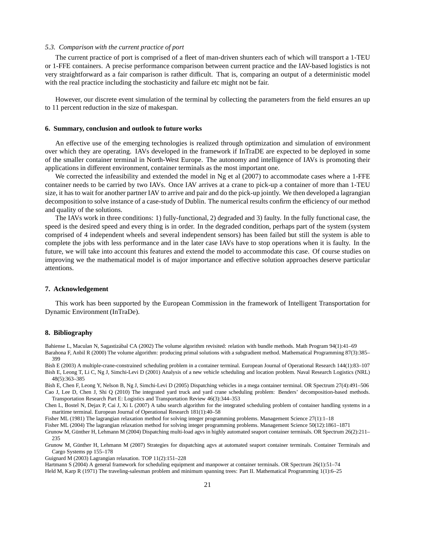### *5.3. Comparison with the current practice of port*

The current practice of port is comprised of a fleet of man-driven shunters each of which will transport a 1-TEU or 1-FFE containers. A precise performance comparison between current practice and the IAV-based logistics is not very straightforward as a fair comparison is rather difficult. That is, comparing an output of a deterministic model with the real practice including the stochasticity and failure etc might not be fair.

However, our discrete event simulation of the terminal by collecting the parameters from the field ensures an up to 11 percent reduction in the size of makespan.

#### **6. Summary, conclusion and outlook to future works**

An effective use of the emerging technologies is realized through optimization and simulation of environment over which they are operating. IAVs developed in the framework if InTraDE are expected to be deployed in some of the smaller container terminal in North-West Europe. The autonomy and intelligence of IAVs is promoting their applications in different environment, container terminals as the most important one.

We corrected the infeasibility and extended the model in Ng et al  $(2007)$  to accommodate cases where a 1-FFE container needs to be carried by two IAVs. Once IAV arrives at a crane to pick-up a container of more than 1-TEU size, it has to wait for another partner IAV to arrive and pair and do the pick-up jointly. We then developed a lagrangian decomposition to solve instance of a case-study of Dublin. The numerical results confirm the efficiency of our method and quality of the solutions.

The IAVs work in three conditions: 1) fully-functional, 2) degraded and 3) faulty. In the fully functional case, the speed is the desired speed and every thing is in order. In the degraded condition, perhaps part of the system (system comprised of 4 independent wheels and several independent sensors) has been failed but still the system is able to complete the jobs with less performance and in the later case IAVs have to stop operations when it is faulty. In the future, we will take into account this features and extend the model to accommodate this case. Of course studies on improving we the mathematical model is of major importance and effective solution approaches deserve particular attentions.

### **7. Acknowledgement**

This work has been supported by the European Commission in the framework of Intelligent Transportation for Dynamic Environment (InTraDe).

### **8. Bibliography**

Bahiense L, Maculan N, Sagastizábal CA (2002) The volume algorithm revisited: relation with bundle methods. Math Program 94(1):41-69 Barahona F, Anbil R (2000) The volume algorithm: producing primal solutions with a subgradient method. Mathematical Programming 87(3):385– 399

Bish E (2003) A multiple-crane-constrained scheduling problem in a container terminal. European Journal of Operational Research 144(1):83–107 Bish E, Leong T, Li C, Ng J, Simchi-Levi D (2001) Analysis of a new vehicle scheduling and location problem. Naval Research Logistics (NRL) 48(5):363–385

Bish E, Chen F, Leong Y, Nelson B, Ng J, Simchi-Levi D (2005) Dispatching vehicles in a mega container terminal. OR Spectrum 27(4):491–506 Cao J, Lee D, Chen J, Shi Q (2010) The integrated yard truck and yard crane scheduling problem: Benders' decomposition-based methods. Transportation Research Part E: Logistics and Transportation Review 46(3):344–353

Chen L, Bostel N, Dejax P, Cai J, Xi L (2007) A tabu search algorithm for the integrated scheduling problem of container handling systems in a maritime terminal. European Journal of Operational Research 181(1):40–58

Fisher ML (1981) The lagrangian relaxation method for solving integer programming problems. Management Science 27(1):1–18

Fisher ML (2004) The lagrangian relaxation method for solving integer programming problems. Management Science 50(12):1861–1871 Grunow M, Günther H, Lehmann M (2004) Dispatching multi-load agvs in highly automated seaport container terminals. OR Spectrum 26(2):211-

Grunow M, Günther H, Lehmann M (2007) Strategies for dispatching agvs at automated seaport container terminals. Container Terminals and Cargo Systems pp 155–178

Guignard M (2003) Lagrangian relaxation. TOP 11(2):151–228

Hartmann S (2004) A general framework for scheduling equipment and manpower at container terminals. OR Spectrum 26(1):51–74 Held M, Karp R (1971) The traveling-salesman problem and minimum spanning trees: Part II. Mathematical Programming 1(1):6–25

<sup>235</sup>